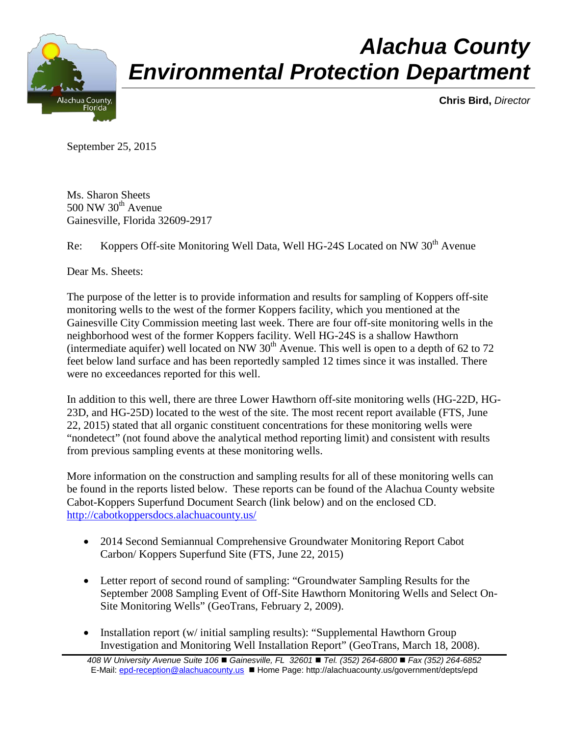

## *Alachua County Environmental Protection Department*

**Chris Bird,** *Director*

September 25, 2015

Ms. Sharon Sheets  $500$  NW  $30<sup>th</sup>$  Avenue Gainesville, Florida 32609-2917

Re: Koppers Off-site Monitoring Well Data, Well HG-24S Located on NW 30<sup>th</sup> Avenue

Dear Ms. Sheets:

The purpose of the letter is to provide information and results for sampling of Koppers off-site monitoring wells to the west of the former Koppers facility, which you mentioned at the Gainesville City Commission meeting last week. There are four off-site monitoring wells in the neighborhood west of the former Koppers facility. Well HG-24S is a shallow Hawthorn (intermediate aquifer) well located on NW  $30<sup>th</sup>$  Avenue. This well is open to a depth of 62 to 72 feet below land surface and has been reportedly sampled 12 times since it was installed. There were no exceedances reported for this well.

In addition to this well, there are three Lower Hawthorn off-site monitoring wells (HG-22D, HG-23D, and HG-25D) located to the west of the site. The most recent report available (FTS, June 22, 2015) stated that all organic constituent concentrations for these monitoring wells were "nondetect" (not found above the analytical method reporting limit) and consistent with results from previous sampling events at these monitoring wells.

More information on the construction and sampling results for all of these monitoring wells can be found in the reports listed below. These reports can be found of the Alachua County website Cabot-Koppers Superfund Document Search (link below) and on the enclosed CD. <http://cabotkoppersdocs.alachuacounty.us/>

- 2014 Second Semiannual Comprehensive Groundwater Monitoring Report Cabot Carbon/ Koppers Superfund Site (FTS, June 22, 2015)
- Letter report of second round of sampling: "Groundwater Sampling Results for the September 2008 Sampling Event of Off-Site Hawthorn Monitoring Wells and Select On-Site Monitoring Wells" (GeoTrans, February 2, 2009).
- Installation report (w/ initial sampling results): "Supplemental Hawthorn Group Investigation and Monitoring Well Installation Report" (GeoTrans, March 18, 2008).

*<sup>408</sup> W University Avenue Suite 106 Gainesville, FL 32601 Tel. (352) 264-6800 Fax (352) 264-6852* E-Mail: [epd-reception@alachuacounty.us](mailto:epd-reception@alachuacounty.us) Home Page: http://alachuacounty.us/government/depts/epd